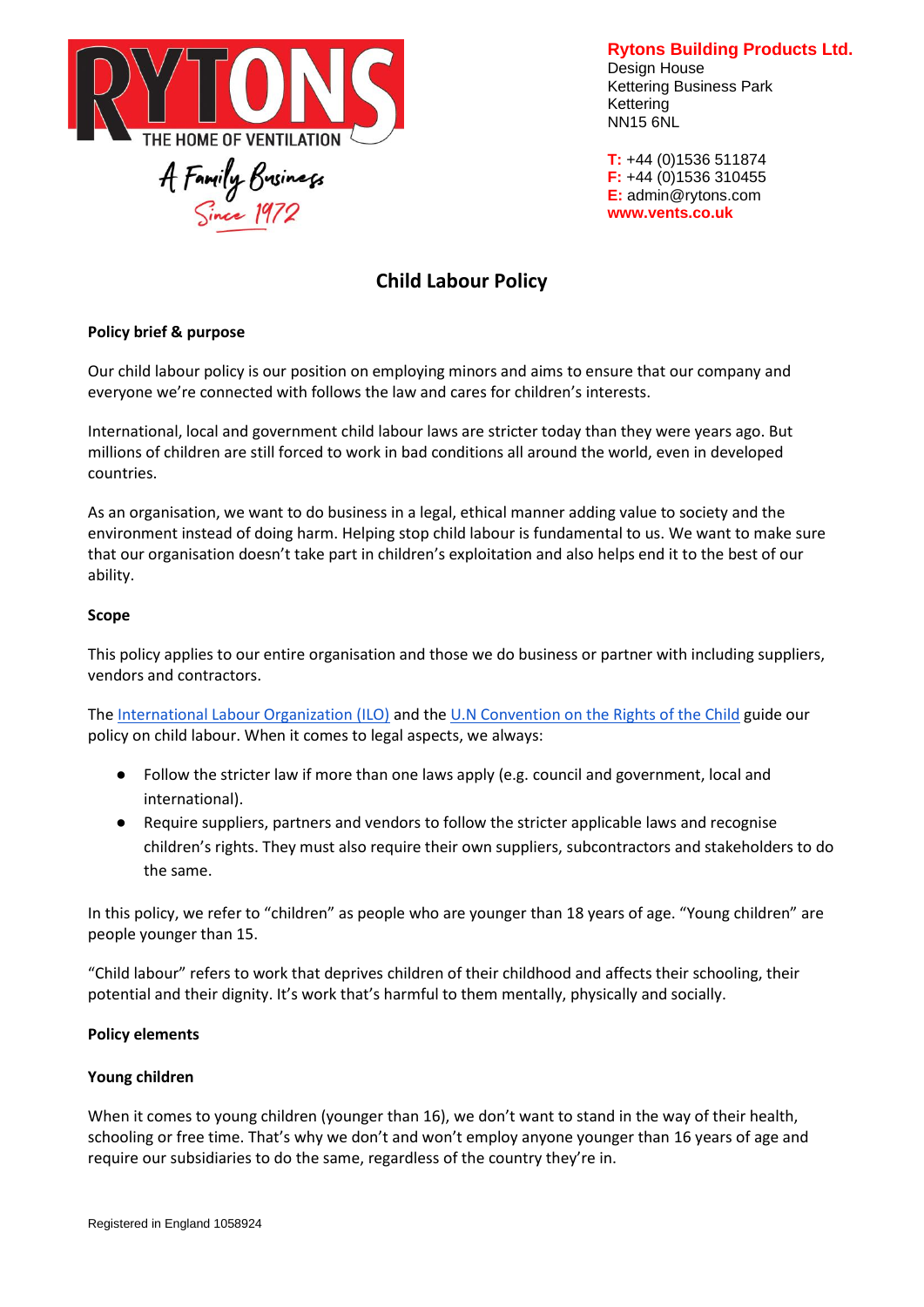

**Rytons Building Products Ltd.** Design House Kettering Business Park Kettering NN15 6NL

**T:** +44 (0)1536 511874 **F:** +44 (0)1536 310455 **E:** admin@rytons.com **[www.vents.co.uk](http://www.vents.co.uk/)**

# **Child Labour Policy**

## **Policy brief & purpose**

Our child labour policy is our position on employing minors and aims to ensure that our company and everyone we're connected with follows the law and cares for children's interests.

International, local and government child labour laws are stricter today than they were years ago. But millions of children are still forced to work in bad conditions all around the world, even in developed countries.

As an organisation, we want to do business in a legal, ethical manner adding value to society and the environment instead of doing harm. Helping stop child labour is fundamental to us. We want to make sure that our organisation doesn't take part in children's exploitation and also helps end it to the best of our ability.

#### **Scope**

This policy applies to our entire organisation and those we do business or partner with including suppliers, vendors and contractors.

Th[e](https://www.ilo.org/global/topics/child-labour/lang--en/index.htm) [International Labour Organization \(ILO\)](https://www.ilo.org/global/topics/child-labour/lang--en/index.htm) and the [U.N Convention on the Rights of the Child](https://www.ohchr.org/en/professionalinterest/pages/crc.aspx) guide our policy on child labour. When it comes to legal aspects, we always:

- Follow the stricter law if more than one laws apply (e.g. council and government, local and international).
- Require suppliers, partners and vendors to follow the stricter applicable laws and recognise children's rights. They must also require their own suppliers, subcontractors and stakeholders to do the same.

In this policy, we refer to "children" as people who are younger than 18 years of age. "Young children" are people younger than 15.

"Child labour" refers to work that deprives children of their childhood and affects their schooling, their potential and their dignity. It's work that's harmful to them mentally, physically and socially.

#### **Policy elements**

#### **Young children**

When it comes to young children (younger than 16), we don't want to stand in the way of their health, schooling or free time. That's why we don't and won't employ anyone younger than 16 years of age and require our subsidiaries to do the same, regardless of the country they're in.